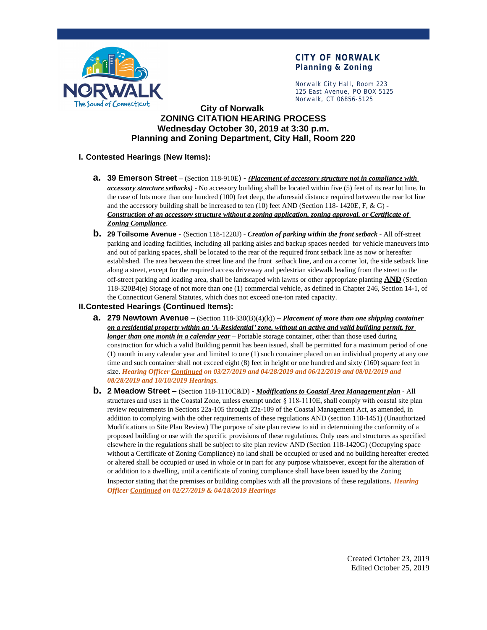

# **CITY OF NORWALK Planning & Zoning**

Norwalk City Hall, Room 223 125 East Avenue, PO BOX 5125 Norwalk, CT 06856-5125

# **City of Norwalk ZONING CITATION HEARING PROCESS Wednesday October 30, 2019 at 3:30 p.m. Planning and Zoning Department, City Hall, Room 220**

### **I. Contested Hearings (New Items):**

- **a. 39 Emerson Street –** (Section 118-910E) *(Placement of accessory structure not in compliance with accessory structure setbacks)* - No accessory building shall be located within five (5) feet of its rear lot line. In the case of lots more than one hundred (100) feet deep, the aforesaid distance required between the rear lot line and the accessory building shall be increased to ten  $(10)$  feet AND (Section 118- 1420E, F, & G) -*Construction of an accessory structure without a zoning application, zoning approval, or Certificate of Zoning Compliance*.
- **b. 29 Toilsome Avenue**  (Section 118-1220J) *Creation of parking within the front setback* All off-street parking and loading facilities, including all parking aisles and backup spaces needed for vehicle maneuvers into and out of parking spaces, shall be located to the rear of the required front setback line as now or hereafter established. The area between the street line and the front setback line, and on a corner lot, the side setback line along a street, except for the required access driveway and pedestrian sidewalk leading from the street to the off-street parking and loading area, shall be landscaped with lawns or other appropriate planting **AND** (Section 118-320B4(e) Storage of not more than one (1) commercial vehicle, as defined in Chapter 246, Section 14-1, of the Connecticut General Statutes, which does not exceed one-ton rated capacity.

#### **II.Contested Hearings (Continued Items):**

- **a. 279 Newtown Avenue** (Section 118-330(B)(4)(k)) *Placement of more than one shipping container on a residential property within an 'A-Residential' zone, without an active and valid building permit, for longer than one month in a calendar year* – Portable storage container, other than those used during construction for which a valid Building permit has been issued, shall be permitted for a maximum period of one (1) month in any calendar year and limited to one (1) such container placed on an individual property at any one time and such container shall not exceed eight (8) feet in height or one hundred and sixty (160) square feet in size. *Hearing Officer Continued on 03/27/2019 and 04/28/2019 and 06/12/2019 and 08/01/2019 and 08/28/2019 and 10/10/2019 Hearings.*
- **b. 2 Meadow Street –** (Section 118-1110C&D) *Modifications to Coastal Area Management plan* All structures and uses in the Coastal Zone, unless exempt under § 118-1110E, shall comply with coastal site plan review requirements in Sections 22a-105 through 22a-109 of the Coastal Management Act, as amended, in addition to complying with the other requirements of these regulations AND (section 118-1451) (Unauthorized Modifications to Site Plan Review) The purpose of site plan review to aid in determining the conformity of a proposed building or use with the specific provisions of these regulations. Only uses and structures as specified elsewhere in the regulations shall be subject to site plan review AND (Section 118-1420G) (Occupying space without a Certificate of Zoning Compliance) no land shall be occupied or used and no building hereafter erected or altered shall be occupied or used in whole or in part for any purpose whatsoever, except for the alteration of or addition to a dwelling, until a certificate of zoning compliance shall have been issued by the Zoning

Inspector stating that the premises or building complies with all the provisions of these regulations. *Hearing Officer Continued on 02/27/2019 & 04/18/2019 Hearings*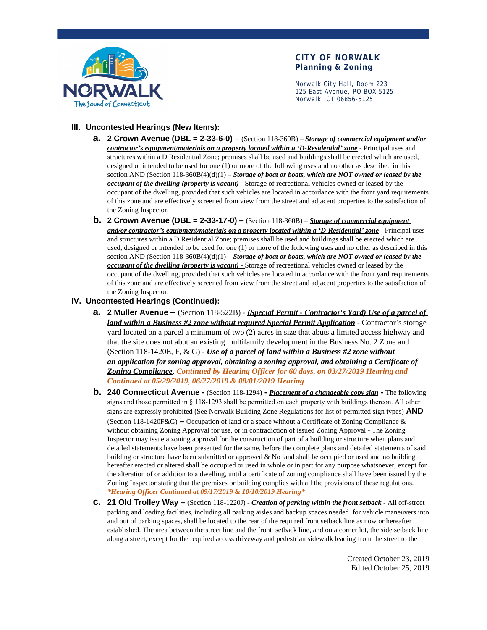

# **CITY OF NORWALK Planning & Zoning**

Norwalk City Hall, Room 223 125 East Avenue, PO BOX 5125 Norwalk, CT 06856-5125

### **III. Uncontested Hearings (New Items):**

- **a. 2 Crown Avenue (DBL = 2-33-6-0) –** (Section 118-360B) *Storage of commercial equipment and/or contractor's equipment/materials on a property located within a 'D-Residential' zone* - Principal uses and structures within a D Residential Zone; premises shall be used and buildings shall be erected which are used, designed or intended to be used for one (1) or more of the following uses and no other as described in this section AND (Section 118-360B(4)(d)(1) – *Storage of boat or boats, which are NOT owned or leased by the occupant of the dwelling (property is vacant) -* Storage of recreational vehicles owned or leased by the occupant of the dwelling, provided that such vehicles are located in accordance with the front yard requirements of this zone and are effectively screened from view from the street and adjacent properties to the satisfaction of the Zoning Inspector.
- **b. 2 Crown Avenue (DBL = 2-33-17-0) –** (Section 118-360B) *Storage of commercial equipment and/or contractor's equipment/materials on a property located within a 'D-Residential' zone* - Principal uses and structures within a D Residential Zone; premises shall be used and buildings shall be erected which are used, designed or intended to be used for one (1) or more of the following uses and no other as described in this section AND (Section 118-360B(4)(d)(1) – *Storage of boat or boats, which are NOT owned or leased by the occupant of the dwelling (property is vacant) -* Storage of recreational vehicles owned or leased by the occupant of the dwelling, provided that such vehicles are located in accordance with the front yard requirements of this zone and are effectively screened from view from the street and adjacent properties to the satisfaction of the Zoning Inspector.

#### **IV. Uncontested Hearings (Continued):**

- **a. 2 Muller Avenue –** (Section 118-522B) *(Special Permit Contractor's Yard) Use of a parcel of land within a Business #2 zone without required Special Permit Application* - Contractor's storage yard located on a parcel a minimum of two (2) acres in size that abuts a limited access highway and that the site does not abut an existing multifamily development in the Business No. 2 Zone and (Section 118-1420E, F, & G) - *Use of a parcel of land within a Business #2 zone without an application for zoning approval, obtaining a zoning approval, and obtaining a Certificate of Zoning Compliance***.** *Continued by Hearing Officer for 60 days, on 03/27/2019 Hearing and Continued at 05/29/2019, 06/27/2019 & 08/01/2019 Hearing*
- **b. 240 Connecticut Avenue** (Section 118-1294)*Placement of a changeable copy sign*The following signs and those permitted in § 118-1293 shall be permitted on each property with buildings thereon. All other signs are expressly prohibited (See Norwalk Building Zone Regulations for list of permitted sign types) **AND**  (Section 118-1420F&G) **–** Occupation of land or a space without a Certificate of Zoning Compliance & without obtaining Zoning Approval for use, or in contradiction of issued Zoning Approval - The Zoning Inspector may issue a zoning approval for the construction of part of a building or structure when plans and detailed statements have been presented for the same, before the complete plans and detailed statements of said building or structure have been submitted or approved & No land shall be occupied or used and no building hereafter erected or altered shall be occupied or used in whole or in part for any purpose whatsoever, except for the alteration of or addition to a dwelling, until a certificate of zoning compliance shall have been issued by the Zoning Inspector stating that the premises or building complies with all the provisions of these regulations. *\*Hearing Officer Continued at 09/17/2019 & 10/10/2019 Hearing\**
- **c. 21 Old Trolley Way –** (Section 118-1220J) *Creation of parking within the front setback* All off-street parking and loading facilities, including all parking aisles and backup spaces needed for vehicle maneuvers into and out of parking spaces, shall be located to the rear of the required front setback line as now or hereafter established. The area between the street line and the front setback line, and on a corner lot, the side setback line along a street, except for the required access driveway and pedestrian sidewalk leading from the street to the

Created October 23, 2019 Edited October 25, 2019